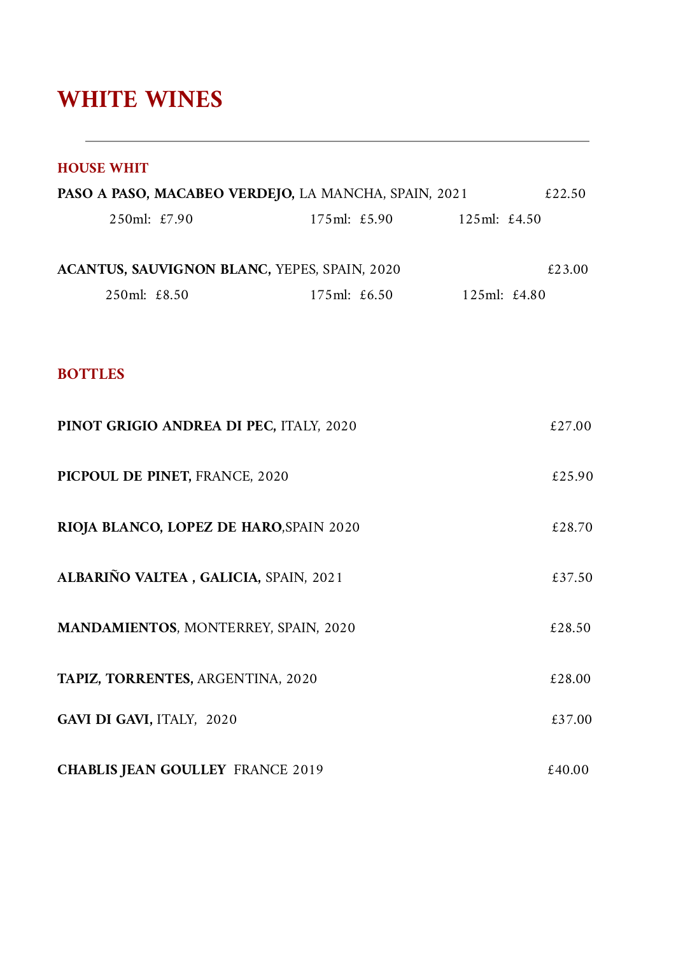#### **WHITE WINES**

| <b>HOUSE WHIT</b>                                           |                           |              |        |
|-------------------------------------------------------------|---------------------------|--------------|--------|
| <b>PASO A PASO, MACABEO VERDEJO, LA MANCHA, SPAIN, 2021</b> |                           |              | £22.50 |
| 250ml: £7.90                                                | 175ml: £5.90 125ml: £4.50 |              |        |
|                                                             |                           |              |        |
| ACANTUS, SAUVIGNON BLANC, YEPES, SPAIN, 2020                |                           |              | £23.00 |
| 250ml: £8.50                                                | 175ml: £6.50              | 125ml: £4.80 |        |
|                                                             |                           |              |        |
|                                                             |                           |              |        |
| <b>BOTTLES</b>                                              |                           |              |        |
| PINOT GRIGIO ANDREA DI PEC, ITALY, 2020                     |                           |              | £27.00 |
|                                                             |                           |              |        |
| PICPOUL DE PINET, FRANCE, 2020                              |                           |              | £25.90 |
|                                                             |                           |              |        |
| RIOJA BLANCO, LOPEZ DE HARO, SPAIN 2020                     |                           |              | £28.70 |
| ALBARIÑO VALTEA, GALICIA, SPAIN, 2021                       |                           |              |        |
|                                                             |                           |              | £37.50 |
| <b>MANDAMIENTOS, MONTERREY, SPAIN, 2020</b>                 |                           |              | £28.50 |
|                                                             |                           |              |        |
| TAPIZ, TORRENTES, ARGENTINA, 2020                           |                           |              | £28.00 |
| GAVI DI GAVI, ITALY, 2020                                   |                           |              | £37.00 |
|                                                             |                           |              |        |
| <b>CHABLIS JEAN GOULLEY FRANCE 2019</b>                     |                           |              | £40.00 |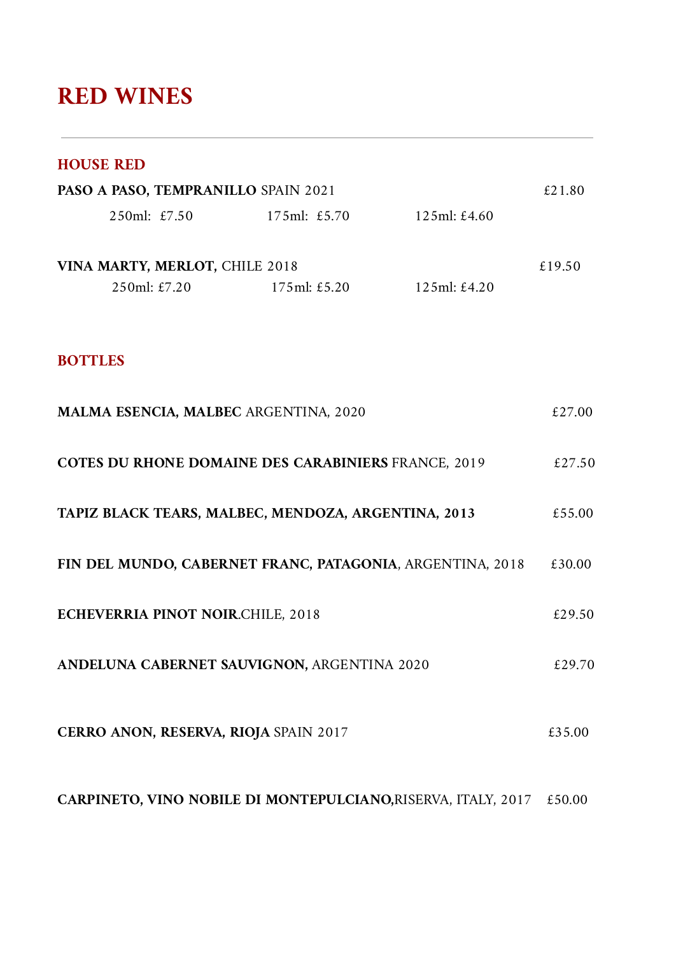### **RED WINES**

#### **HOUSE RED**

| PASO A PASO, TEMPRANILLO SPAIN 2021                           |                      |              | £21.80 |
|---------------------------------------------------------------|----------------------|--------------|--------|
| 250ml: £7.50                                                  | 175ml: £5.70         | 125ml: £4.60 |        |
| VINA MARTY, MERLOT, CHILE 2018<br>$250ml: \pounds 7.20$       | $175ml: \pounds5.20$ | 125ml: £4.20 | £19.50 |
|                                                               |                      |              |        |
| <b>BOTTLES</b>                                                |                      |              |        |
| MALMA ESENCIA, MALBEC ARGENTINA, 2020                         |                      |              | £27.00 |
| <b>COTES DU RHONE DOMAINE DES CARABINIERS FRANCE, 2019</b>    |                      |              | £27.50 |
| TAPIZ BLACK TEARS, MALBEC, MENDOZA, ARGENTINA, 2013           |                      |              | £55.00 |
| FIN DEL MUNDO, CABERNET FRANC, PATAGONIA, ARGENTINA, 2018     |                      |              | £30.00 |
| ECHEVERRIA PINOT NOIR.CHILE, 2018                             |                      |              | £29.50 |
| ANDELUNA CABERNET SAUVIGNON, ARGENTINA 2020                   |                      |              | £29.70 |
| <b>CERRO ANON, RESERVA, RIOJA SPAIN 2017</b>                  |                      |              | £35.00 |
| CARPINETO, VINO NOBILE DI MONTEPULCIANO, RISERVA, ITALY, 2017 |                      |              | £50.00 |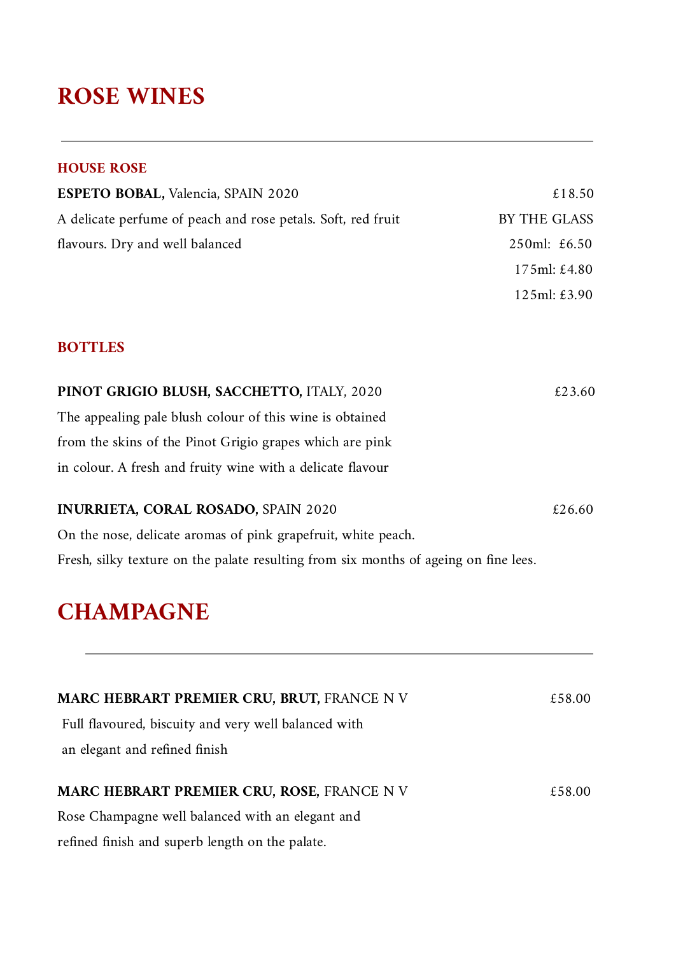#### **ROSE WINES**

#### **HOUSE ROSE**

| <b>ESPETO BOBAL, Valencia, SPAIN 2020</b>                    | £18.50               |
|--------------------------------------------------------------|----------------------|
| A delicate perfume of peach and rose petals. Soft, red fruit | BY THE GLASS         |
| flavours. Dry and well balanced                              | 250ml: $£6.50$       |
|                                                              | 175ml: £4.80         |
|                                                              | $125ml: \pounds3.90$ |

#### **BOTTLES**

| PINOT GRIGIO BLUSH, SACCHETTO, ITALY, 2020                                           | £23.60 |
|--------------------------------------------------------------------------------------|--------|
| The appealing pale blush colour of this wine is obtained                             |        |
| from the skins of the Pinot Grigio grapes which are pink                             |        |
| in colour. A fresh and fruity wine with a delicate flavour                           |        |
| <b>INURRIETA, CORAL ROSADO, SPAIN 2020</b>                                           | £26.60 |
|                                                                                      |        |
| On the nose, delicate aromas of pink grapefruit, white peach.                        |        |
| Fresh, silky texture on the palate resulting from six months of ageing on fine lees. |        |

### **CHAMPAGNE**

| <b>MARC HEBRART PREMIER CRU, BRUT, FRANCE N V</b>    | £58.00 |
|------------------------------------------------------|--------|
| Full flavoured, biscuity and very well balanced with |        |
| an elegant and refined finish                        |        |
| MARC HEBRART PREMIER CRU, ROSE, FRANCE N V           | £58.00 |
| Rose Champagne well balanced with an elegant and     |        |
| refined finish and superb length on the palate.      |        |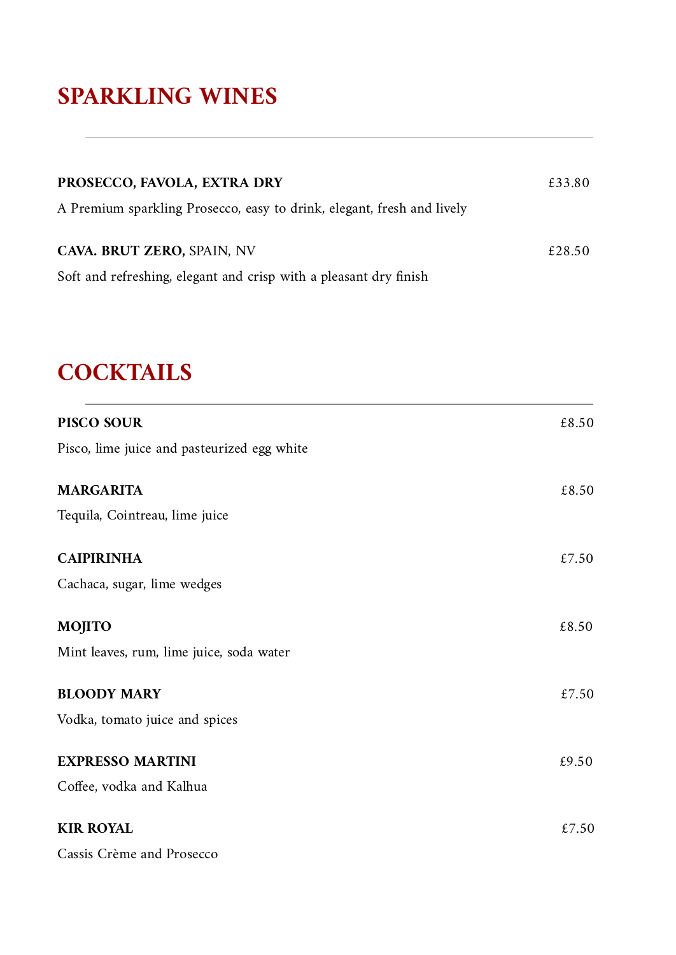## **SPARKLING WINES**

| PROSECCO, FAVOLA, EXTRA DRY                                                                          | £33.80 |
|------------------------------------------------------------------------------------------------------|--------|
| A Premium sparkling Prosecco, easy to drink, elegant, fresh and lively<br>CAVA. BRUT ZERO, SPAIN, NV | £28.50 |
| Soft and refreshing, elegant and crisp with a pleasant dry finish                                    |        |

# **COCKTAILS**

| PISCO SOUR                                  | £8.50 |
|---------------------------------------------|-------|
| Pisco, lime juice and pasteurized egg white |       |
| <b>MARGARITA</b>                            | £8.50 |
| Tequila, Cointreau, lime juice              |       |
| <b>CAIPIRINHA</b>                           | £7.50 |
| Cachaca, sugar, lime wedges                 |       |
| <b>MOJITO</b>                               | £8.50 |
| Mint leaves, rum, lime juice, soda water    |       |
| <b>BLOODY MARY</b>                          | £7.50 |
| Vodka, tomato juice and spices              |       |
| <b>EXPRESSO MARTINI</b>                     | £9.50 |
| Coffee, vodka and Kalhua                    |       |
| <b>KIR ROYAL</b>                            | £7.50 |
| Cassis Crème and Prosecco                   |       |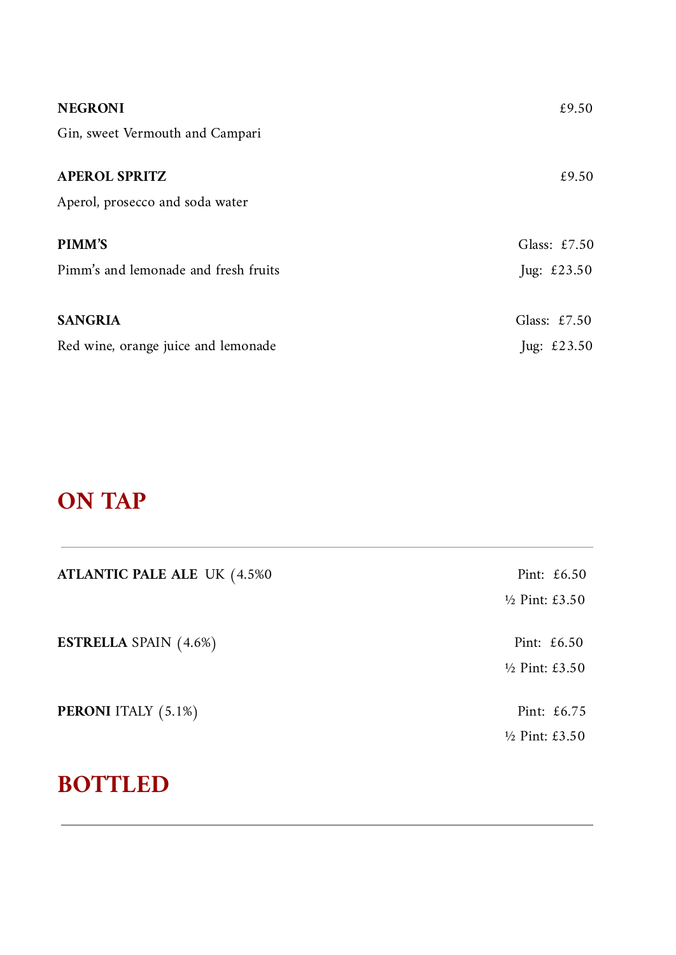| <b>NEGRONI</b>                       | £9.50          |
|--------------------------------------|----------------|
| Gin, sweet Vermouth and Campari      |                |
| <b>APEROL SPRITZ</b>                 | £9.50          |
| Aperol, prosecco and soda water      |                |
| <b>PIMM'S</b>                        | Glass: $£7.50$ |
| Pimm's and lemonade and fresh fruits | Jug: $£23.50$  |
|                                      |                |
| <b>SANGRIA</b>                       | Glass: $£7.50$ |
| Red wine, orange juice and lemonade  | Jug: $£23.50$  |

## **ON TAP**

| <b>ATLANTIC PALE ALE UK (4.5%0)</b> | Pint: $£6.50$                              |
|-------------------------------------|--------------------------------------------|
|                                     | $\frac{1}{2}$ Pint: £3.50                  |
| <b>ESTRELLA</b> SPAIN (4.6%)        | Pint: $£6.50$<br>$\frac{1}{2}$ Pint: £3.50 |
| <b>PERONI</b> ITALY (5.1%)          | Pint: $\text{\pounds}6.75$                 |
|                                     | $\frac{1}{2}$ Pint: £3.50                  |

## **BOTTLED**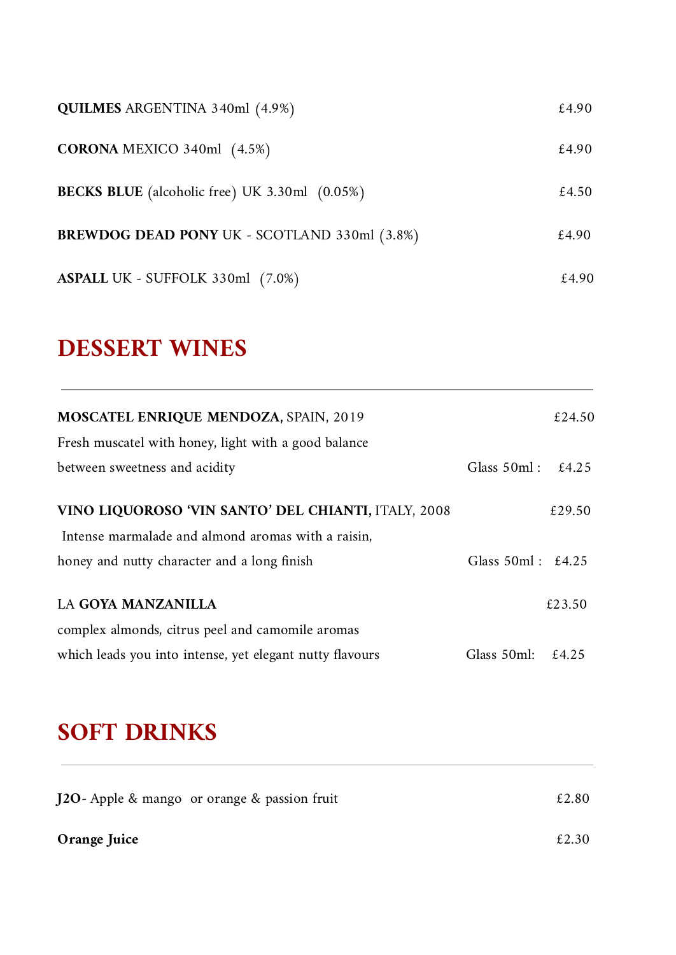| <b>QUILMES</b> ARGENTINA 340ml (4.9%)                | £4.90 |
|------------------------------------------------------|-------|
| <b>CORONA</b> MEXICO 340ml $(4.5%)$                  | £4.90 |
| <b>BECKS BLUE</b> (alcoholic free) UK 3.30ml (0.05%) | £4.50 |
| <b>BREWDOG DEAD PONY UK - SCOTLAND 330ml (3.8%)</b>  | £4.90 |
| ASPALL UK - SUFFOLK 330ml (7.0%)                     | £4.90 |

## **DESSERT WINES**

| <b>MOSCATEL ENRIQUE MENDOZA, SPAIN, 2019</b>             |                      | £24.50 |
|----------------------------------------------------------|----------------------|--------|
| Fresh muscatel with honey, light with a good balance     |                      |        |
| between sweetness and acidity                            | Glass $50ml$ :       | £4.25  |
| VINO LIQUOROSO 'VIN SANTO' DEL CHIANTI, ITALY, 2008      |                      | £29.50 |
| Intense marmalade and almond aromas with a raisin,       |                      |        |
| honey and nutty character and a long finish              | Glass $50ml : £4.25$ |        |
| <b>LA GOYA MANZANILLA</b>                                |                      | £23.50 |
| complex almonds, citrus peel and camomile aromas         |                      |        |
| which leads you into intense, yet elegant nutty flavours | Glass 50ml:          | £4.25  |

# **SOFT DRINKS**

| <b>J2O</b> - Apple & mango or orange & passion fruit | £2.80 |
|------------------------------------------------------|-------|
| Orange Juice                                         | £2.30 |